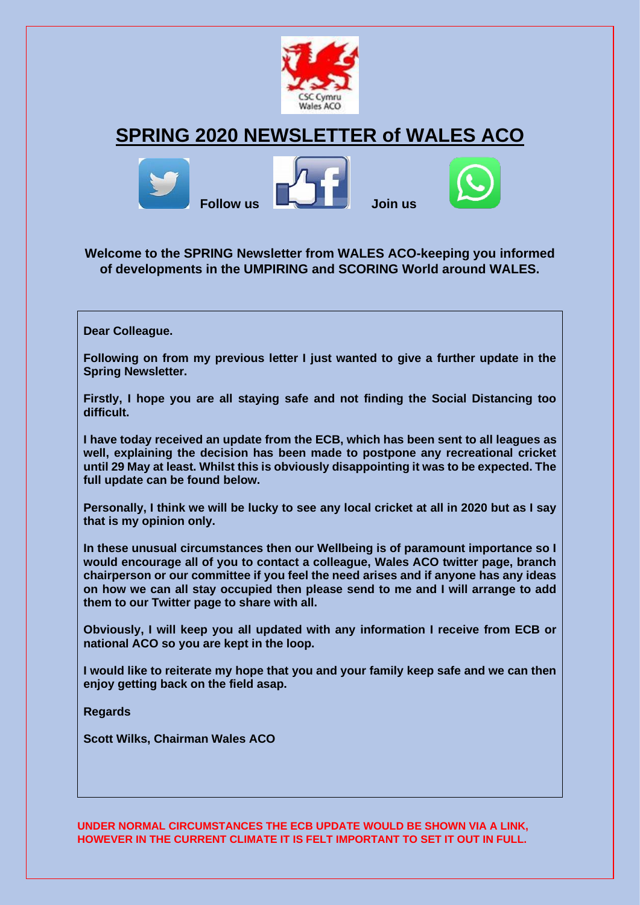

# **SPRING 2020 NEWSLETTER of WALES ACO**



## **Welcome to the SPRING Newsletter from WALES ACO-keeping you informed of developments in the UMPIRING and SCORING World around WALES.**

**Dear Colleague.**

**Following on from my previous letter I just wanted to give a further update in the Spring Newsletter.**

**Firstly, I hope you are all staying safe and not finding the Social Distancing too difficult.**

**I have today received an update from the ECB, which has been sent to all leagues as well, explaining the decision has been made to postpone any recreational cricket until 29 May at least. Whilst this is obviously disappointing it was to be expected. The full update can be found below.**

**Personally, I think we will be lucky to see any local cricket at all in 2020 but as I say that is my opinion only.**

**In these unusual circumstances then our Wellbeing is of paramount importance so I would encourage all of you to contact a colleague, Wales ACO twitter page, branch chairperson or our committee if you feel the need arises and if anyone has any ideas on how we can all stay occupied then please send to me and I will arrange to add them to our Twitter page to share with all.**

**Obviously, I will keep you all updated with any information I receive from ECB or national ACO so you are kept in the loop.**

**I would like to reiterate my hope that you and your family keep safe and we can then enjoy getting back on the field asap.**

**Regards**

**Scott Wilks, Chairman Wales ACO**

**UNDER NORMAL CIRCUMSTANCES THE ECB UPDATE WOULD BE SHOWN VIA A LINK, HOWEVER IN THE CURRENT CLIMATE IT IS FELT IMPORTANT TO SET IT OUT IN FULL.**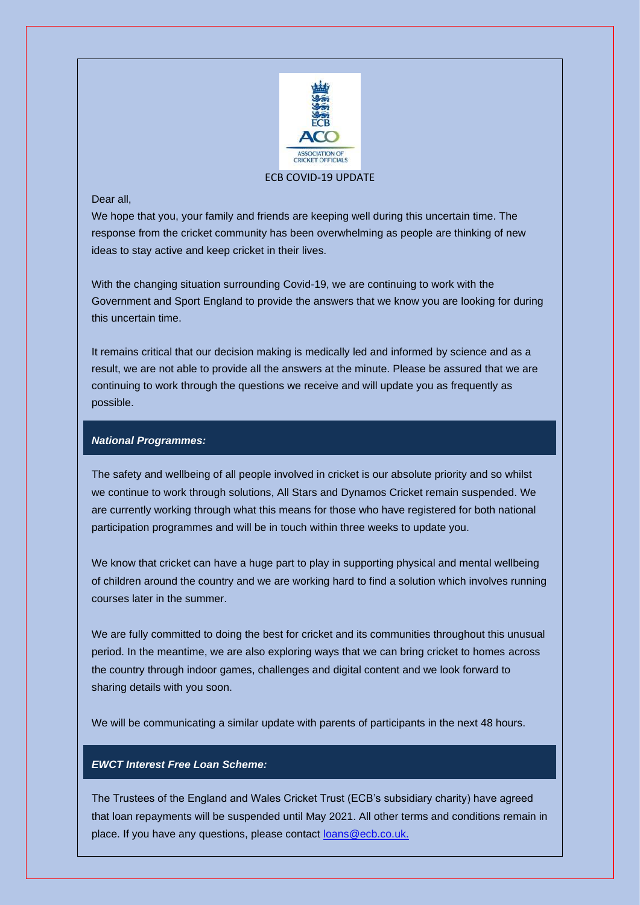

#### ECB COVID-19 UPDATE

#### Dear all,

We hope that you, your family and friends are keeping well during this uncertain time. The response from the cricket community has been overwhelming as people are thinking of new ideas to stay active and keep cricket in their lives.

With the changing situation surrounding Covid-19, we are continuing to work with the Government and Sport England to provide the answers that we know you are looking for during this uncertain time.

It remains critical that our decision making is medically led and informed by science and as a result, we are not able to provide all the answers at the minute. Please be assured that we are continuing to work through the questions we receive and will update you as frequently as possible.

#### *National Programmes:*

The safety and wellbeing of all people involved in cricket is our absolute priority and so whilst we continue to work through solutions, All Stars and Dynamos Cricket remain suspended. We are currently working through what this means for those who have registered for both national participation programmes and will be in touch within three weeks to update you.

We know that cricket can have a huge part to play in supporting physical and mental wellbeing of children around the country and we are working hard to find a solution which involves running courses later in the summer.

We are fully committed to doing the best for cricket and its communities throughout this unusual period. In the meantime, we are also exploring ways that we can bring cricket to homes across the country through indoor games, challenges and digital content and we look forward to sharing details with you soon.

We will be communicating a similar update with parents of participants in the next 48 hours.

#### *EWCT Interest Free Loan Scheme:*

The Trustees of the England and Wales Cricket Trust (ECB's subsidiary charity) have agreed that loan repayments will be suspended until May 2021. All other terms and conditions remain in place. If you have any questions, please contact loans @ecb.co.uk.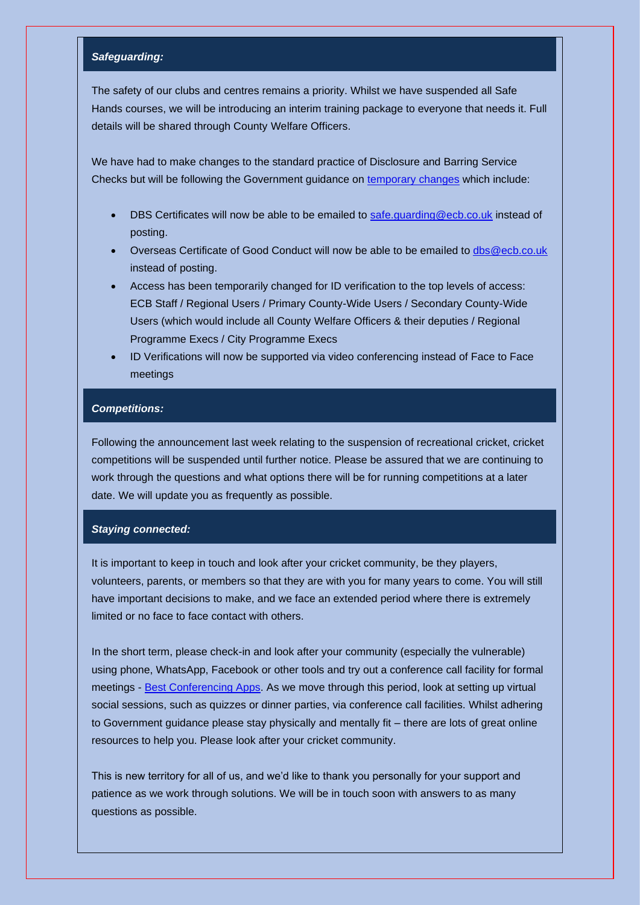#### *Safeguarding:*

The safety of our clubs and centres remains a priority. Whilst we have suspended all Safe Hands courses, we will be introducing an interim training package to everyone that needs it. Full details will be shared through County Welfare Officers.

We have had to make changes to the standard practice of Disclosure and Barring Service Checks but will be following the Government guidance on [temporary changes](https://ecb-comms.co.uk/1FT6-6SY0X-L1CBNJ-408QWG-1/c.aspx) which include:

- DBS Certificates will now be able to be emailed to [safe.guarding@ecb.co.uk](mailto:safe.guarding@ecb.co.uk) instead of posting.
- Overseas Certificate of Good Conduct will now be able to be emailed to [dbs@ecb.co.uk](mailto:dbs@ecb.co.uk) instead of posting.
- Access has been temporarily changed for ID verification to the top levels of access: ECB Staff / Regional Users / Primary County-Wide Users / Secondary County-Wide Users (which would include all County Welfare Officers & their deputies / Regional Programme Execs / City Programme Execs
- ID Verifications will now be supported via video conferencing instead of Face to Face meetings

#### *Competitions:*

Following the announcement last week relating to the suspension of recreational cricket, cricket competitions will be suspended until further notice. Please be assured that we are continuing to work through the questions and what options there will be for running competitions at a later date. We will update you as frequently as possible.

#### *Staying connected:*

It is important to keep in touch and look after your cricket community, be they players, volunteers, parents, or members so that they are with you for many years to come. You will still have important decisions to make, and we face an extended period where there is extremely limited or no face to face contact with others.

In the short term, please check-in and look after your community (especially the vulnerable) using phone, WhatsApp, Facebook or other tools and try out a conference call facility for formal meetings - [Best Conferencing Apps.](https://ecb-comms.co.uk/1FT6-6SY0X-L1CBNJ-408RJJ-1/c.aspx) As we move through this period, look at setting up virtual social sessions, such as quizzes or dinner parties, via conference call facilities. Whilst adhering to Government guidance please stay physically and mentally fit – there are lots of great online resources to help you. Please look after your cricket community.

This is new territory for all of us, and we'd like to thank you personally for your support and patience as we work through solutions. We will be in touch soon with answers to as many questions as possible.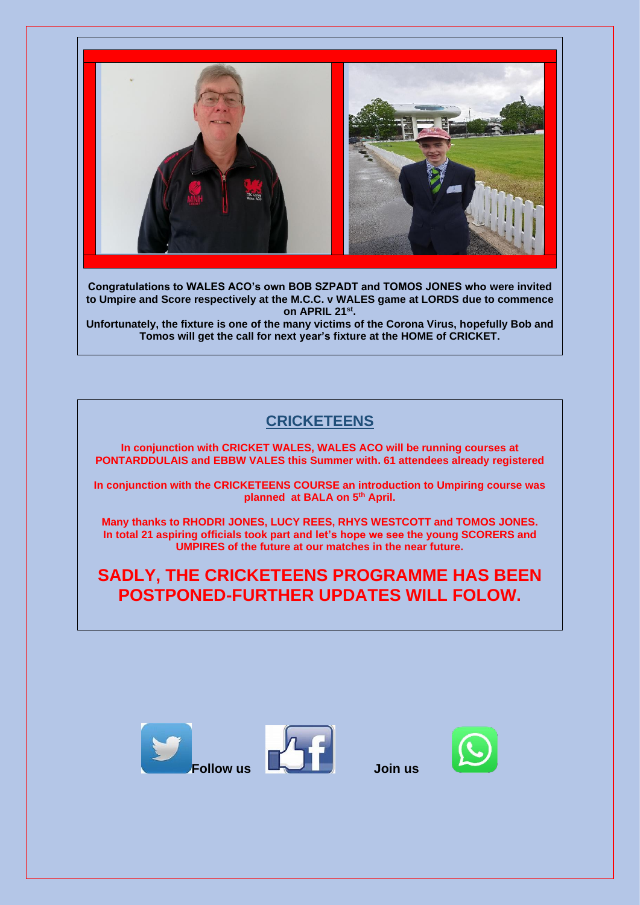

**Congratulations to WALES ACO's own BOB SZPADT and TOMOS JONES who were invited to Umpire and Score respectively at the M.C.C. v WALES game at LORDS due to commence on APRIL 21st .**

**Unfortunately, the fixture is one of the many victims of the Corona Virus, hopefully Bob and Tomos will get the call for next year's fixture at the HOME of CRICKET.** 

# **CRICKETEENS**

**In conjunction with CRICKET WALES, WALES ACO will be running courses at PONTARDDULAIS and EBBW VALES this Summer with. 61 attendees already registered**

**In conjunction with the CRICKETEENS COURSE an introduction to Umpiring course was planned at BALA on 5th April.**

**Many thanks to RHODRI JONES, LUCY REES, RHYS WESTCOTT and TOMOS JONES. In total 21 aspiring officials took part and let's hope we see the young SCORERS and UMPIRES of the future at our matches in the near future.**

**SADLY, THE CRICKETEENS PROGRAMME HAS BEEN POSTPONED-FURTHER UPDATES WILL FOLOW.**





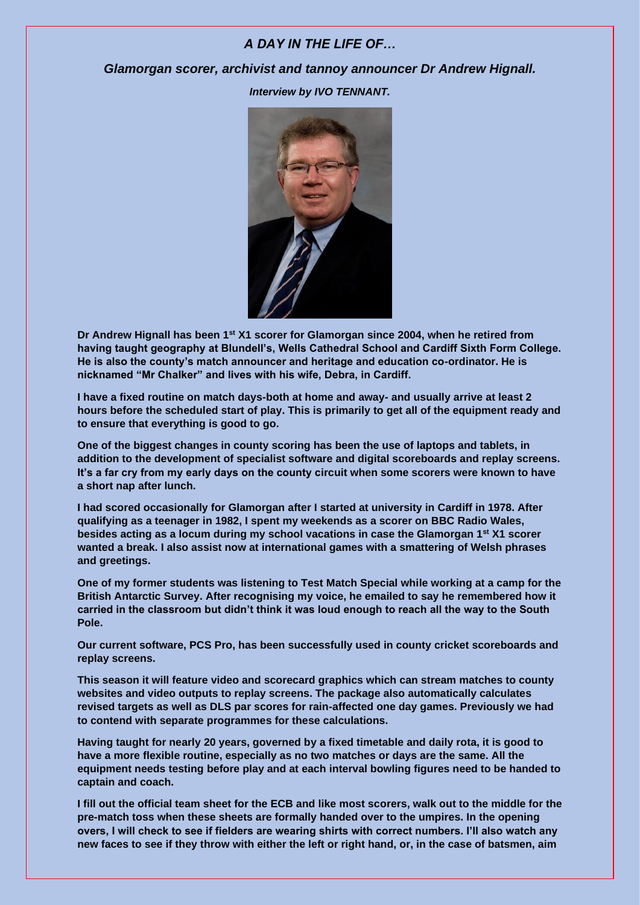#### *A DAY IN THE LIFE OF…*

#### *Glamorgan scorer, archivist and tannoy announcer Dr Andrew Hignall.*

*Interview by IVO TENNANT.*



**Dr Andrew Hignall has been 1st X1 scorer for Glamorgan since 2004, when he retired from having taught geography at Blundell's, Wells Cathedral School and Cardiff Sixth Form College. He is also the county's match announcer and heritage and education co-ordinator. He is nicknamed "Mr Chalker" and lives with his wife, Debra, in Cardiff.**

**I have a fixed routine on match days-both at home and away- and usually arrive at least 2 hours before the scheduled start of play. This is primarily to get all of the equipment ready and to ensure that everything is good to go.**

**One of the biggest changes in county scoring has been the use of laptops and tablets, in addition to the development of specialist software and digital scoreboards and replay screens. It's a far cry from my early days on the county circuit when some scorers were known to have a short nap after lunch.**

**I had scored occasionally for Glamorgan after I started at university in Cardiff in 1978. After qualifying as a teenager in 1982, I spent my weekends as a scorer on BBC Radio Wales, besides acting as a locum during my school vacations in case the Glamorgan 1st X1 scorer wanted a break. I also assist now at international games with a smattering of Welsh phrases and greetings.**

**One of my former students was listening to Test Match Special while working at a camp for the British Antarctic Survey. After recognising my voice, he emailed to say he remembered how it carried in the classroom but didn't think it was loud enough to reach all the way to the South Pole.**

**Our current software, PCS Pro, has been successfully used in county cricket scoreboards and replay screens.**

**This season it will feature video and scorecard graphics which can stream matches to county websites and video outputs to replay screens. The package also automatically calculates revised targets as well as DLS par scores for rain-affected one day games. Previously we had to contend with separate programmes for these calculations.**

**Having taught for nearly 20 years, governed by a fixed timetable and daily rota, it is good to have a more flexible routine, especially as no two matches or days are the same. All the equipment needs testing before play and at each interval bowling figures need to be handed to captain and coach.**

**I fill out the official team sheet for the ECB and like most scorers, walk out to the middle for the pre-match toss when these sheets are formally handed over to the umpires. In the opening overs, I will check to see if fielders are wearing shirts with correct numbers. I'll also watch any new faces to see if they throw with either the left or right hand, or, in the case of batsmen, aim**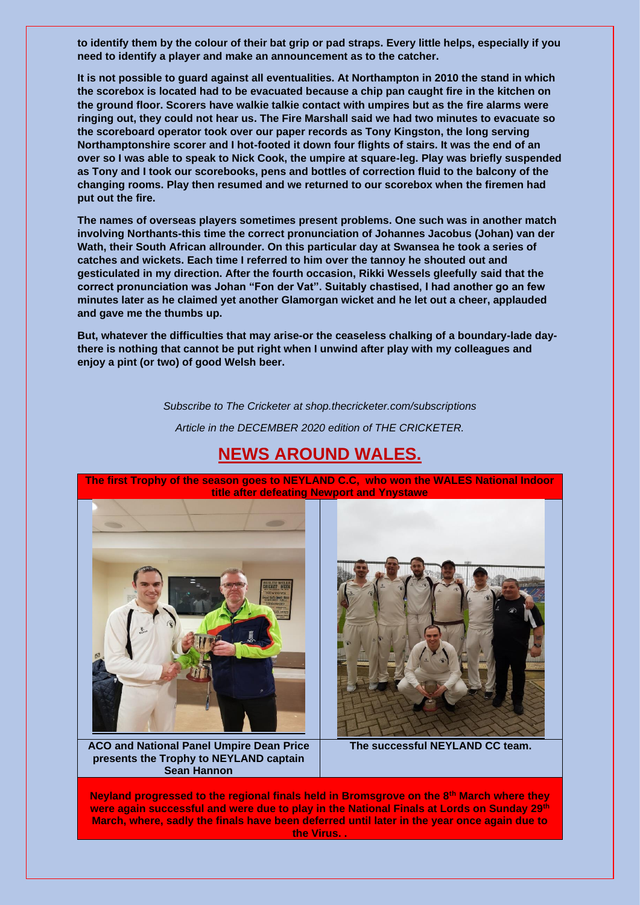**to identify them by the colour of their bat grip or pad straps. Every little helps, especially if you need to identify a player and make an announcement as to the catcher.**

**It is not possible to guard against all eventualities. At Northampton in 2010 the stand in which the scorebox is located had to be evacuated because a chip pan caught fire in the kitchen on the ground floor. Scorers have walkie talkie contact with umpires but as the fire alarms were ringing out, they could not hear us. The Fire Marshall said we had two minutes to evacuate so the scoreboard operator took over our paper records as Tony Kingston, the long serving Northamptonshire scorer and I hot-footed it down four flights of stairs. It was the end of an over so I was able to speak to Nick Cook, the umpire at square-leg. Play was briefly suspended as Tony and I took our scorebooks, pens and bottles of correction fluid to the balcony of the changing rooms. Play then resumed and we returned to our scorebox when the firemen had put out the fire.**

**The names of overseas players sometimes present problems. One such was in another match involving Northants-this time the correct pronunciation of Johannes Jacobus (Johan) van der Wath, their South African allrounder. On this particular day at Swansea he took a series of catches and wickets. Each time I referred to him over the tannoy he shouted out and gesticulated in my direction. After the fourth occasion, Rikki Wessels gleefully said that the correct pronunciation was Johan "Fon der Vat". Suitably chastised, I had another go an few minutes later as he claimed yet another Glamorgan wicket and he let out a cheer, applauded and gave me the thumbs up.**

**But, whatever the difficulties that may arise-or the ceaseless chalking of a boundary-lade daythere is nothing that cannot be put right when I unwind after play with my colleagues and enjoy a pint (or two) of good Welsh beer.**

*Subscribe to The Cricketer at shop.thecricketer.com/subscriptions*

*Article in the DECEMBER 2020 edition of THE CRICKETER.*



**The first Trophy of the season goes to NEYLAND C.C, who won the WALES National Indoor title after defeating Newport and Ynystawe**



**ACO and National Panel Umpire Dean Price presents the Trophy to NEYLAND captain Sean Hannon**



**The successful NEYLAND CC team.**

**Neyland progressed to the regional finals held in Bromsgrove on the 8th March where they were again successful and were due to play in the National Finals at Lords on Sunday 29th March, where, sadly the finals have been deferred until later in the year once again due to the Virus. .**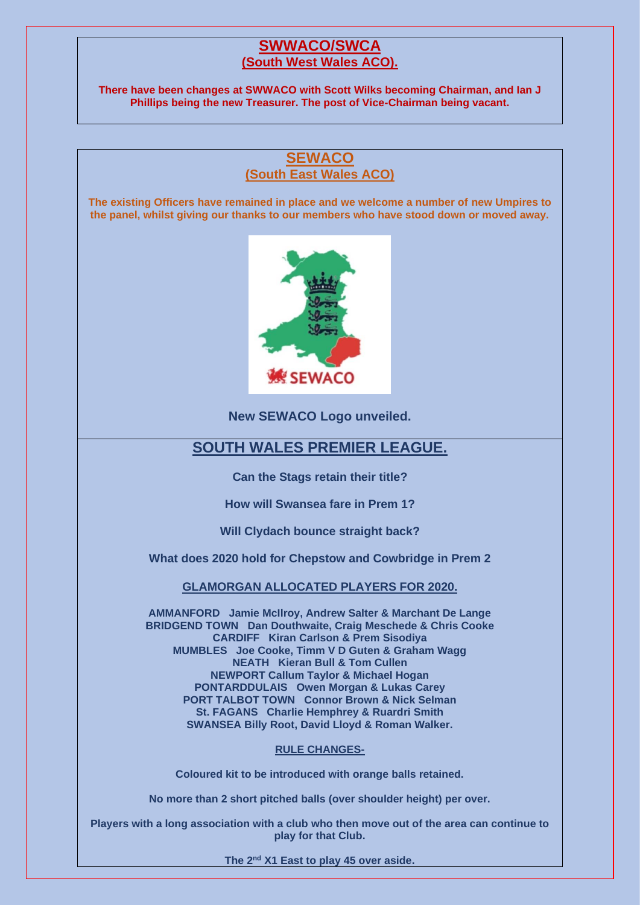## **SWWACO/SWCA (South West Wales ACO).**

**There have been changes at SWWACO with Scott Wilks becoming Chairman, and Ian J Phillips being the new Treasurer. The post of Vice-Chairman being vacant.**

## **SEWACO (South East Wales ACO)**

**The existing Officers have remained in place and we welcome a number of new Umpires to the panel, whilst giving our thanks to our members who have stood down or moved away.**



**New SEWACO Logo unveiled.**

## **SOUTH WALES PREMIER LEAGUE.**

**Can the Stags retain their title?**

**How will Swansea fare in Prem 1?**

**Will Clydach bounce straight back?**

**What does 2020 hold for Chepstow and Cowbridge in Prem 2**

**GLAMORGAN ALLOCATED PLAYERS FOR 2020.**

**AMMANFORD Jamie McIlroy, Andrew Salter & Marchant De Lange BRIDGEND TOWN Dan Douthwaite, Craig Meschede & Chris Cooke CARDIFF Kiran Carlson & Prem Sisodiya MUMBLES Joe Cooke, Timm V D Guten & Graham Wagg NEATH Kieran Bull & Tom Cullen NEWPORT Callum Taylor & Michael Hogan PONTARDDULAIS Owen Morgan & Lukas Carey PORT TALBOT TOWN Connor Brown & Nick Selman St. FAGANS Charlie Hemphrey & Ruardri Smith SWANSEA Billy Root, David Lloyd & Roman Walker.**

#### **RULE CHANGES-**

**Coloured kit to be introduced with orange balls retained.**

**No more than 2 short pitched balls (over shoulder height) per over.**

**Players with a long association with a club who then move out of the area can continue to play for that Club.**

**The 2nd X1 East to play 45 over aside.**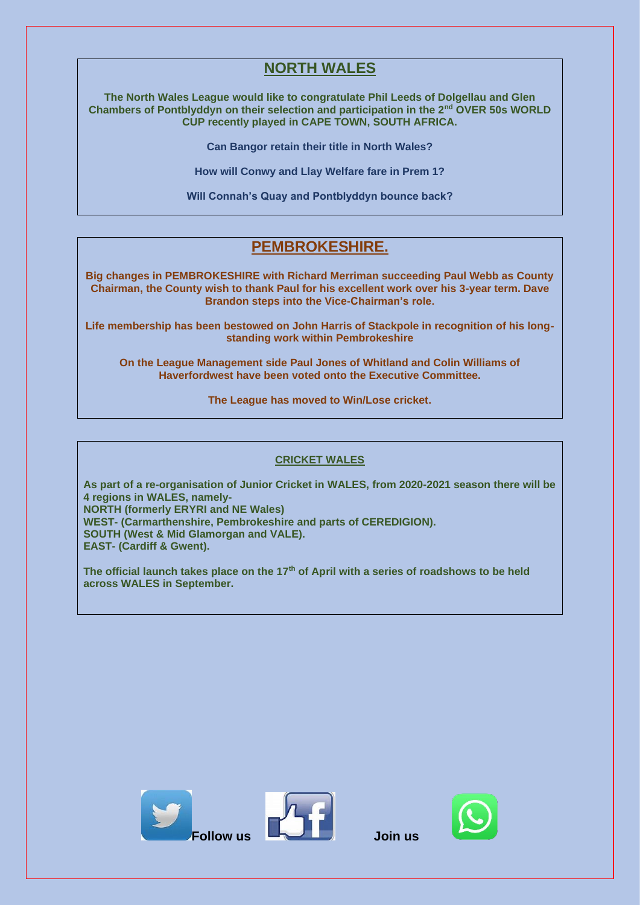# **NORTH WALES**

**The North Wales League would like to congratulate Phil Leeds of Dolgellau and Glen Chambers of Pontblyddyn on their selection and participation in the 2nd OVER 50s WORLD CUP recently played in CAPE TOWN, SOUTH AFRICA.**

**Can Bangor retain their title in North Wales?**

**How will Conwy and Llay Welfare fare in Prem 1?**

**Will Connah's Quay and Pontblyddyn bounce back?**

# **PEMBROKESHIRE.**

**Big changes in PEMBROKESHIRE with Richard Merriman succeeding Paul Webb as County Chairman, the County wish to thank Paul for his excellent work over his 3-year term. Dave Brandon steps into the Vice-Chairman's role.**

**Life membership has been bestowed on John Harris of Stackpole in recognition of his longstanding work within Pembrokeshire** 

**On the League Management side Paul Jones of Whitland and Colin Williams of Haverfordwest have been voted onto the Executive Committee.**

**The League has moved to Win/Lose cricket.**

#### **CRICKET WALES**

**As part of a re-organisation of Junior Cricket in WALES, from 2020-2021 season there will be 4 regions in WALES, namely-NORTH (formerly ERYRI and NE Wales) WEST- (Carmarthenshire, Pembrokeshire and parts of CEREDIGION).**

**SOUTH (West & Mid Glamorgan and VALE).**

**EAST- (Cardiff & Gwent).**

**The official launch takes place on the 17th of April with a series of roadshows to be held across WALES in September.**





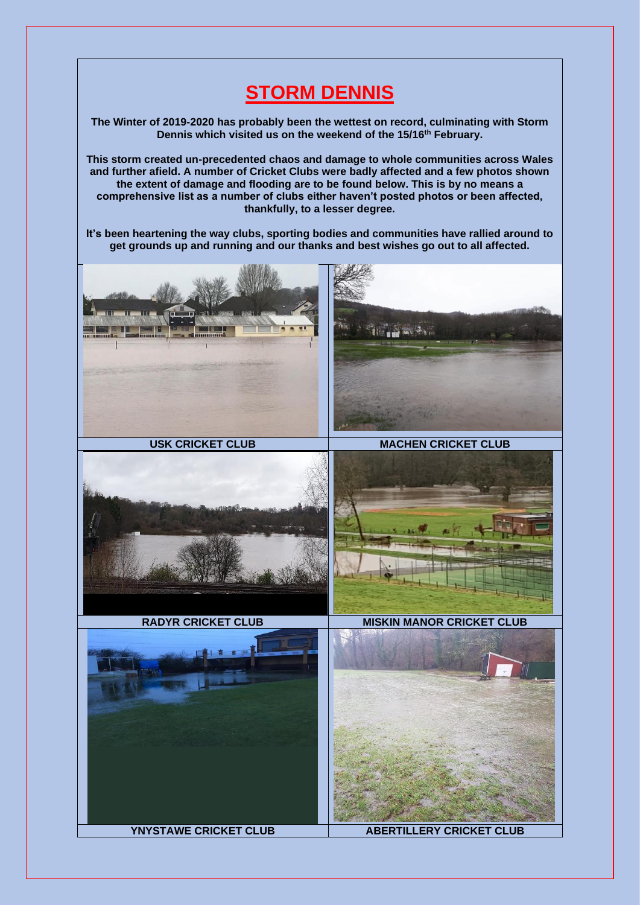# **STORM DENNIS**

**The Winter of 2019-2020 has probably been the wettest on record, culminating with Storm Dennis which visited us on the weekend of the 15/16th February.**

**This storm created un-precedented chaos and damage to whole communities across Wales and further afield. A number of Cricket Clubs were badly affected and a few photos shown the extent of damage and flooding are to be found below. This is by no means a comprehensive list as a number of clubs either haven't posted photos or been affected, thankfully, to a lesser degree.**

**It's been heartening the way clubs, sporting bodies and communities have rallied around to get grounds up and running and our thanks and best wishes go out to all affected.**

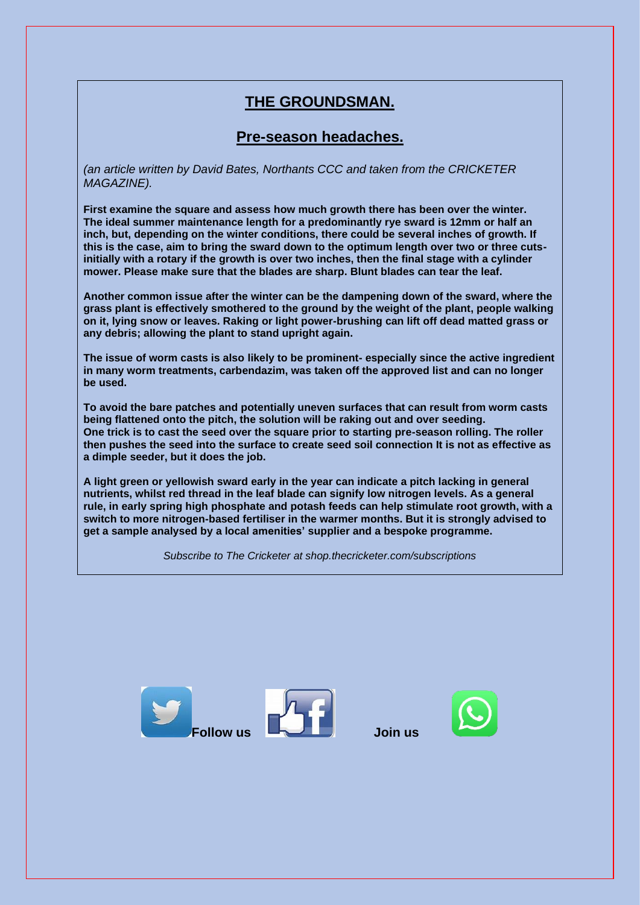# **THE GROUNDSMAN.**

# **Pre-season headaches.**

*(an article written by David Bates, Northants CCC and taken from the CRICKETER MAGAZINE).*

**First examine the square and assess how much growth there has been over the winter. The ideal summer maintenance length for a predominantly rye sward is 12mm or half an inch, but, depending on the winter conditions, there could be several inches of growth. If this is the case, aim to bring the sward down to the optimum length over two or three cutsinitially with a rotary if the growth is over two inches, then the final stage with a cylinder mower. Please make sure that the blades are sharp. Blunt blades can tear the leaf.**

**Another common issue after the winter can be the dampening down of the sward, where the grass plant is effectively smothered to the ground by the weight of the plant, people walking on it, lying snow or leaves. Raking or light power-brushing can lift off dead matted grass or any debris; allowing the plant to stand upright again.**

**The issue of worm casts is also likely to be prominent- especially since the active ingredient in many worm treatments, carbendazim, was taken off the approved list and can no longer be used.**

**To avoid the bare patches and potentially uneven surfaces that can result from worm casts being flattened onto the pitch, the solution will be raking out and over seeding. One trick is to cast the seed over the square prior to starting pre-season rolling. The roller then pushes the seed into the surface to create seed soil connection It is not as effective as a dimple seeder, but it does the job.**

**A light green or yellowish sward early in the year can indicate a pitch lacking in general nutrients, whilst red thread in the leaf blade can signify low nitrogen levels. As a general rule, in early spring high phosphate and potash feeds can help stimulate root growth, with a switch to more nitrogen-based fertiliser in the warmer months. But it is strongly advised to get a sample analysed by a local amenities' supplier and a bespoke programme.**

*Subscribe to The Cricketer at shop.thecricketer.com/subscriptions*





**Follow us Join us**

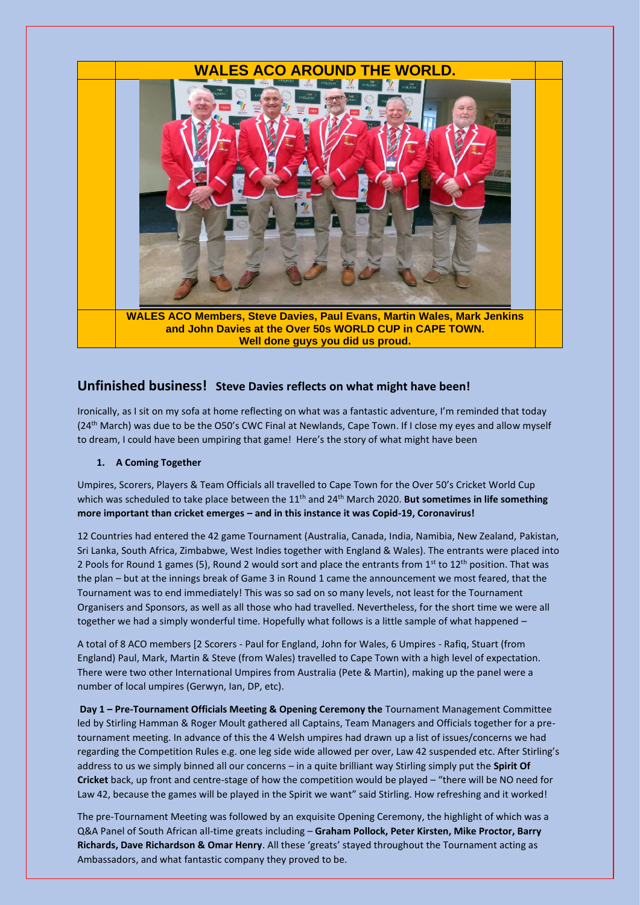

### **Unfinished business! Steve Davies reflects on what might have been!**

Ironically, as I sit on my sofa at home reflecting on what was a fantastic adventure, I'm reminded that today (24<sup>th</sup> March) was due to be the O50's CWC Final at Newlands, Cape Town. If I close my eyes and allow myself to dream, I could have been umpiring that game! Here's the story of what might have been

#### **1. A Coming Together**

Umpires, Scorers, Players & Team Officials all travelled to Cape Town for the Over 50's Cricket World Cup which was scheduled to take place between the 11<sup>th</sup> and 24<sup>th</sup> March 2020. **But sometimes in life something more important than cricket emerges – and in this instance it was Copid-19, Coronavirus!**

12 Countries had entered the 42 game Tournament (Australia, Canada, India, Namibia, New Zealand, Pakistan, Sri Lanka, South Africa, Zimbabwe, West Indies together with England & Wales). The entrants were placed into 2 Pools for Round 1 games (5), Round 2 would sort and place the entrants from 1<sup>st</sup> to 12<sup>th</sup> position. That was the plan – but at the innings break of Game 3 in Round 1 came the announcement we most feared, that the Tournament was to end immediately! This was so sad on so many levels, not least for the Tournament Organisers and Sponsors, as well as all those who had travelled. Nevertheless, for the short time we were all together we had a simply wonderful time. Hopefully what follows is a little sample of what happened –

A total of 8 ACO members [2 Scorers - Paul for England, John for Wales, 6 Umpires - Rafiq, Stuart (from England) Paul, Mark, Martin & Steve (from Wales) travelled to Cape Town with a high level of expectation. There were two other International Umpires from Australia (Pete & Martin), making up the panel were a number of local umpires (Gerwyn, Ian, DP, etc).

**Day 1 – Pre-Tournament Officials Meeting & Opening Ceremony the** Tournament Management Committee led by Stirling Hamman & Roger Moult gathered all Captains, Team Managers and Officials together for a pretournament meeting. In advance of this the 4 Welsh umpires had drawn up a list of issues/concerns we had regarding the Competition Rules e.g. one leg side wide allowed per over, Law 42 suspended etc. After Stirling's address to us we simply binned all our concerns – in a quite brilliant way Stirling simply put the **Spirit Of Cricket** back, up front and centre-stage of how the competition would be played – "there will be NO need for Law 42, because the games will be played in the Spirit we want" said Stirling. How refreshing and it worked!

The pre-Tournament Meeting was followed by an exquisite Opening Ceremony, the highlight of which was a Q&A Panel of South African all-time greats including – **Graham Pollock, Peter Kirsten, Mike Proctor, Barry Richards, Dave Richardson & Omar Henry**. All these 'greats' stayed throughout the Tournament acting as Ambassadors, and what fantastic company they proved to be.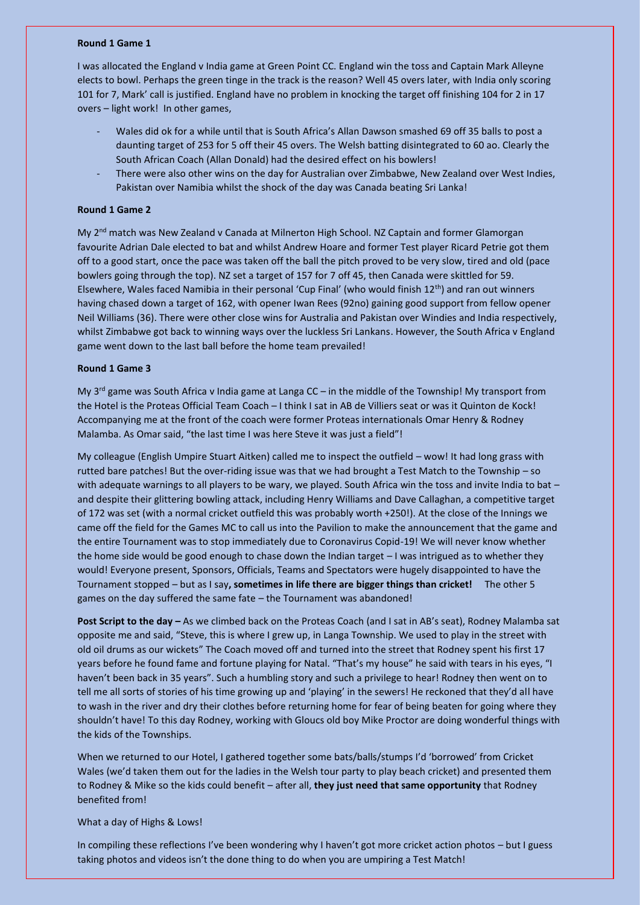#### **Round 1 Game 1**

I was allocated the England v India game at Green Point CC. England win the toss and Captain Mark Alleyne elects to bowl. Perhaps the green tinge in the track is the reason? Well 45 overs later, with India only scoring 101 for 7, Mark' call is justified. England have no problem in knocking the target off finishing 104 for 2 in 17 overs – light work! In other games,

- Wales did ok for a while until that is South Africa's Allan Dawson smashed 69 off 35 balls to post a daunting target of 253 for 5 off their 45 overs. The Welsh batting disintegrated to 60 ao. Clearly the South African Coach (Allan Donald) had the desired effect on his bowlers!
- There were also other wins on the day for Australian over Zimbabwe, New Zealand over West Indies, Pakistan over Namibia whilst the shock of the day was Canada beating Sri Lanka!

#### **Round 1 Game 2**

My 2nd match was New Zealand v Canada at Milnerton High School. NZ Captain and former Glamorgan favourite Adrian Dale elected to bat and whilst Andrew Hoare and former Test player Ricard Petrie got them off to a good start, once the pace was taken off the ball the pitch proved to be very slow, tired and old (pace bowlers going through the top). NZ set a target of 157 for 7 off 45, then Canada were skittled for 59. Elsewhere, Wales faced Namibia in their personal 'Cup Final' (who would finish  $12<sup>th</sup>$ ) and ran out winners having chased down a target of 162, with opener Iwan Rees (92no) gaining good support from fellow opener Neil Williams (36). There were other close wins for Australia and Pakistan over Windies and India respectively, whilst Zimbabwe got back to winning ways over the luckless Sri Lankans. However, the South Africa v England game went down to the last ball before the home team prevailed!

#### **Round 1 Game 3**

My 3<sup>rd</sup> game was South Africa v India game at Langa CC – in the middle of the Township! My transport from the Hotel is the Proteas Official Team Coach – I think I sat in AB de Villiers seat or was it Quinton de Kock! Accompanying me at the front of the coach were former Proteas internationals Omar Henry & Rodney Malamba. As Omar said, "the last time I was here Steve it was just a field"!

My colleague (English Umpire Stuart Aitken) called me to inspect the outfield – wow! It had long grass with rutted bare patches! But the over-riding issue was that we had brought a Test Match to the Township – so with adequate warnings to all players to be wary, we played. South Africa win the toss and invite India to bat – and despite their glittering bowling attack, including Henry Williams and Dave Callaghan, a competitive target of 172 was set (with a normal cricket outfield this was probably worth +250!). At the close of the Innings we came off the field for the Games MC to call us into the Pavilion to make the announcement that the game and the entire Tournament was to stop immediately due to Coronavirus Copid-19! We will never know whether the home side would be good enough to chase down the Indian target – I was intrigued as to whether they would! Everyone present, Sponsors, Officials, Teams and Spectators were hugely disappointed to have the Tournament stopped – but as I say**, sometimes in life there are bigger things than cricket!** The other 5 games on the day suffered the same fate – the Tournament was abandoned!

**Post Script to the day –** As we climbed back on the Proteas Coach (and I sat in AB's seat), Rodney Malamba sat opposite me and said, "Steve, this is where I grew up, in Langa Township. We used to play in the street with old oil drums as our wickets" The Coach moved off and turned into the street that Rodney spent his first 17 years before he found fame and fortune playing for Natal. "That's my house" he said with tears in his eyes, "I haven't been back in 35 years". Such a humbling story and such a privilege to hear! Rodney then went on to tell me all sorts of stories of his time growing up and 'playing' in the sewers! He reckoned that they'd all have to wash in the river and dry their clothes before returning home for fear of being beaten for going where they shouldn't have! To this day Rodney, working with Gloucs old boy Mike Proctor are doing wonderful things with the kids of the Townships.

When we returned to our Hotel, I gathered together some bats/balls/stumps I'd 'borrowed' from Cricket Wales (we'd taken them out for the ladies in the Welsh tour party to play beach cricket) and presented them to Rodney & Mike so the kids could benefit – after all, **they just need that same opportunity** that Rodney benefited from!

#### What a day of Highs & Lows!

In compiling these reflections I've been wondering why I haven't got more cricket action photos – but I guess taking photos and videos isn't the done thing to do when you are umpiring a Test Match!